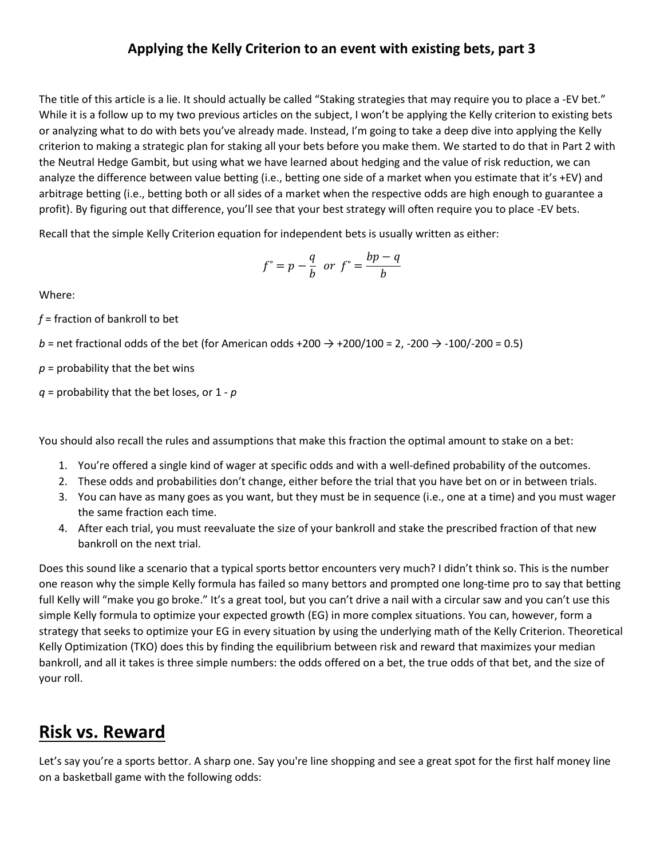#### **Applying the Kelly Criterion to an event with existing bets, part 3**

The title of this article is a lie. It should actually be called "Staking strategies that may require you to place a -EV bet." While it is a follow up to my two previous articles on the subject, I won't be applying the Kelly criterion to existing bets or analyzing what to do with bets you've already made. Instead, I'm going to take a deep dive into applying the Kelly criterion to making a strategic plan for staking all your bets before you make them. We started to do that in Part 2 with the Neutral Hedge Gambit, but using what we have learned about hedging and the value of risk reduction, we can analyze the difference between value betting (i.e., betting one side of a market when you estimate that it's +EV) and arbitrage betting (i.e., betting both or all sides of a market when the respective odds are high enough to guarantee a profit). By figuring out that difference, you'll see that your best strategy will often require you to place -EV bets.

Recall that the simple Kelly Criterion equation for independent bets is usually written as either:

$$
f^\circ = p - \frac{q}{b} \text{ or } f^\circ = \frac{bp - q}{b}
$$

Where:

*f* = fraction of bankroll to bet

- *b* = net fractional odds of the bet (for American odds +200  $\rightarrow$  +200/100 = 2, -200  $\rightarrow$  -100/-200 = 0.5)
- $p =$  probability that the bet wins
- *q* = probability that the bet loses, or 1 *p*

You should also recall the rules and assumptions that make this fraction the optimal amount to stake on a bet:

- 1. You're offered a single kind of wager at specific odds and with a well-defined probability of the outcomes.
- 2. These odds and probabilities don't change, either before the trial that you have bet on or in between trials.
- 3. You can have as many goes as you want, but they must be in sequence (i.e., one at a time) and you must wager the same fraction each time.
- 4. After each trial, you must reevaluate the size of your bankroll and stake the prescribed fraction of that new bankroll on the next trial.

Does this sound like a scenario that a typical sports bettor encounters very much? I didn't think so. This is the number one reason why the simple Kelly formula has failed so many bettors and prompted one long-time pro to say that betting full Kelly will "make you go broke." It's a great tool, but you can't drive a nail with a circular saw and you can't use this simple Kelly formula to optimize your expected growth (EG) in more complex situations. You can, however, form a strategy that seeks to optimize your EG in every situation by using the underlying math of the Kelly Criterion. Theoretical Kelly Optimization (TKO) does this by finding the equilibrium between risk and reward that maximizes your median bankroll, and all it takes is three simple numbers: the odds offered on a bet, the true odds of that bet, and the size of your roll.

### **Risk vs. Reward**

Let's say you're a sports bettor. A sharp one. Say you're line shopping and see a great spot for the first half money line on a basketball game with the following odds: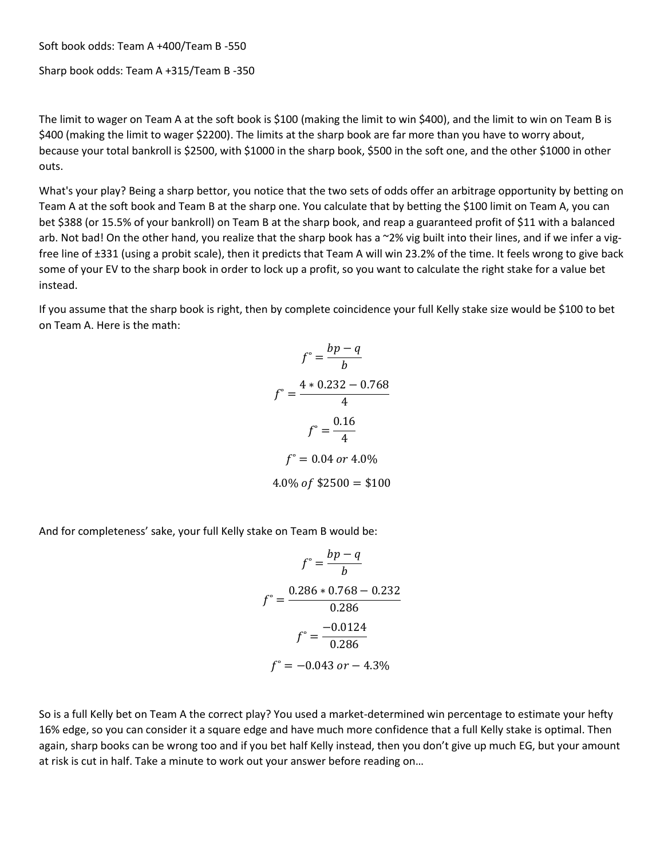Soft book odds: Team A +400/Team B -550

Sharp book odds: Team A +315/Team B -350

The limit to wager on Team A at the soft book is \$100 (making the limit to win \$400), and the limit to win on Team B is \$400 (making the limit to wager \$2200). The limits at the sharp book are far more than you have to worry about, because your total bankroll is \$2500, with \$1000 in the sharp book, \$500 in the soft one, and the other \$1000 in other outs.

What's your play? Being a sharp bettor, you notice that the two sets of odds offer an arbitrage opportunity by betting on Team A at the soft book and Team B at the sharp one. You calculate that by betting the \$100 limit on Team A, you can bet \$388 (or 15.5% of your bankroll) on Team B at the sharp book, and reap a guaranteed profit of \$11 with a balanced arb. Not bad! On the other hand, you realize that the sharp book has a ~2% vig built into their lines, and if we infer a vigfree line of ±331 (using a probit scale), then it predicts that Team A will win 23.2% of the time. It feels wrong to give back some of your EV to the sharp book in order to lock up a profit, so you want to calculate the right stake for a value bet instead.

If you assume that the sharp book is right, then by complete coincidence your full Kelly stake size would be \$100 to bet on Team A. Here is the math:

$$
f^{\circ} = \frac{bp - q}{b}
$$

$$
f^{\circ} = \frac{4 * 0.232 - 0.768}{4}
$$

$$
f^{\circ} = \frac{0.16}{4}
$$

$$
f^{\circ} = 0.04 \text{ or } 4.0\%
$$

$$
4.0\% \text{ of } $2500 = $100
$$

And for completeness' sake, your full Kelly stake on Team B would be:

$$
f^{\circ} = \frac{bp - q}{b}
$$

$$
f^{\circ} = \frac{0.286 * 0.768 - 0.232}{0.286}
$$

$$
f^{\circ} = \frac{-0.0124}{0.286}
$$

$$
f^{\circ} = -0.043 \text{ or } -4.3\%
$$

So is a full Kelly bet on Team A the correct play? You used a market-determined win percentage to estimate your hefty 16% edge, so you can consider it a square edge and have much more confidence that a full Kelly stake is optimal. Then again, sharp books can be wrong too and if you bet half Kelly instead, then you don't give up much EG, but your amount at risk is cut in half. Take a minute to work out your answer before reading on…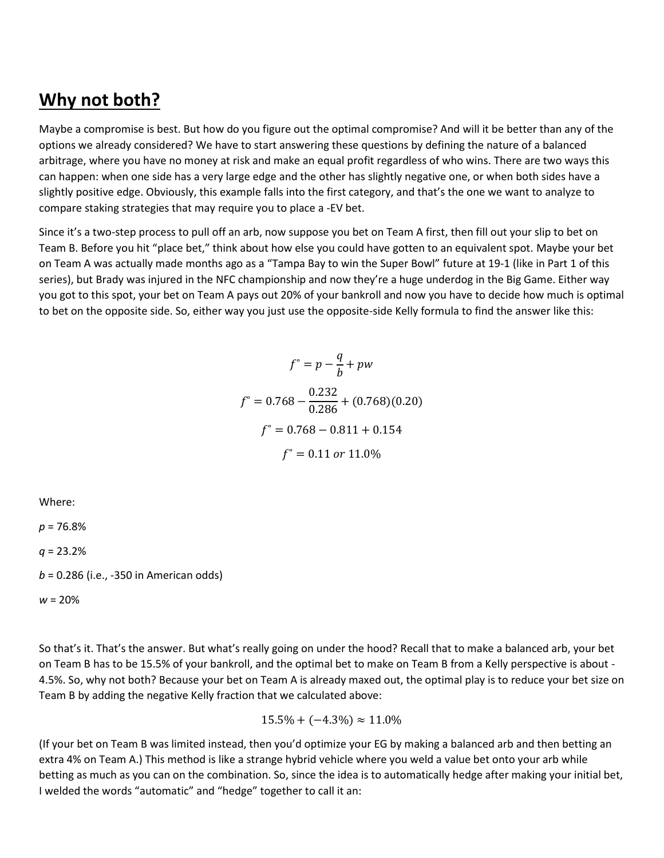## **Why not both?**

Maybe a compromise is best. But how do you figure out the optimal compromise? And will it be better than any of the options we already considered? We have to start answering these questions by defining the nature of a balanced arbitrage, where you have no money at risk and make an equal profit regardless of who wins. There are two ways this can happen: when one side has a very large edge and the other has slightly negative one, or when both sides have a slightly positive edge. Obviously, this example falls into the first category, and that's the one we want to analyze to compare staking strategies that may require you to place a -EV bet.

Since it's a two-step process to pull off an arb, now suppose you bet on Team A first, then fill out your slip to bet on Team B. Before you hit "place bet," think about how else you could have gotten to an equivalent spot. Maybe your bet on Team A was actually made months ago as a "Tampa Bay to win the Super Bowl" future at 19-1 (like in Part 1 of this series), but Brady was injured in the NFC championship and now they're a huge underdog in the Big Game. Either way you got to this spot, your bet on Team A pays out 20% of your bankroll and now you have to decide how much is optimal to bet on the opposite side. So, either way you just use the opposite-side Kelly formula to find the answer like this:

$$
f^{\circ} = p - \frac{q}{b} + pw
$$
  

$$
f^{\circ} = 0.768 - \frac{0.232}{0.286} + (0.768)(0.20)
$$
  

$$
f^{\circ} = 0.768 - 0.811 + 0.154
$$
  

$$
f^{\circ} = 0.11 \text{ or } 11.0\%
$$

Where:

*p* = 76.8%

*q* = 23.2%

*b* = 0.286 (i.e., -350 in American odds)

*w* = 20%

So that's it. That's the answer. But what's really going on under the hood? Recall that to make a balanced arb, your bet on Team B has to be 15.5% of your bankroll, and the optimal bet to make on Team B from a Kelly perspective is about - 4.5%. So, why not both? Because your bet on Team A is already maxed out, the optimal play is to reduce your bet size on Team B by adding the negative Kelly fraction that we calculated above:

$$
15.5\% + (-4.3\%) \approx 11.0\%
$$

(If your bet on Team B was limited instead, then you'd optimize your EG by making a balanced arb and then betting an extra 4% on Team A.) This method is like a strange hybrid vehicle where you weld a value bet onto your arb while betting as much as you can on the combination. So, since the idea is to automatically hedge after making your initial bet, I welded the words "automatic" and "hedge" together to call it an: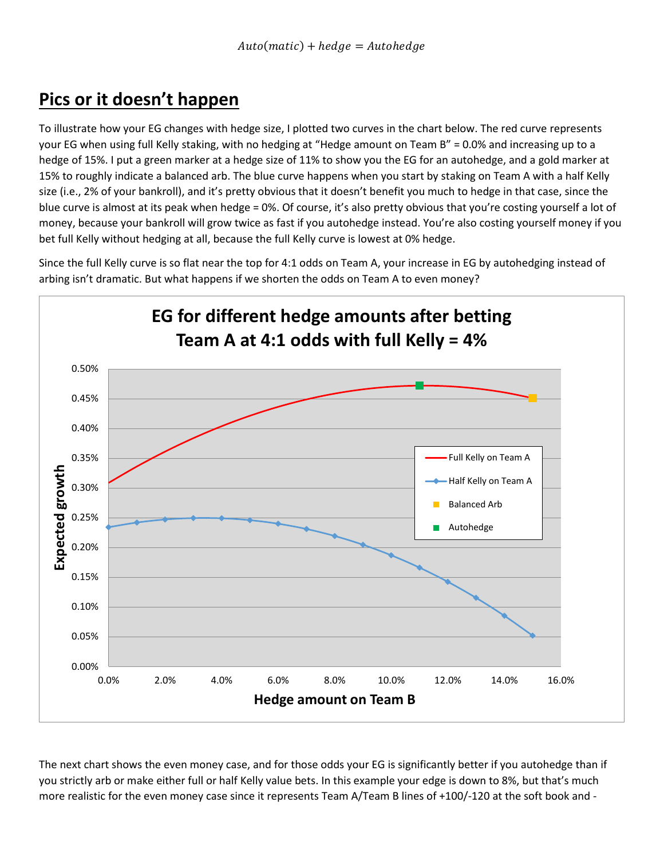## **Pics or it doesn't happen**

To illustrate how your EG changes with hedge size, I plotted two curves in the chart below. The red curve represents your EG when using full Kelly staking, with no hedging at "Hedge amount on Team B" = 0.0% and increasing up to a hedge of 15%. I put a green marker at a hedge size of 11% to show you the EG for an autohedge, and a gold marker at 15% to roughly indicate a balanced arb. The blue curve happens when you start by staking on Team A with a half Kelly size (i.e., 2% of your bankroll), and it's pretty obvious that it doesn't benefit you much to hedge in that case, since the blue curve is almost at its peak when hedge = 0%. Of course, it's also pretty obvious that you're costing yourself a lot of money, because your bankroll will grow twice as fast if you autohedge instead. You're also costing yourself money if you bet full Kelly without hedging at all, because the full Kelly curve is lowest at 0% hedge.

Since the full Kelly curve is so flat near the top for 4:1 odds on Team A, your increase in EG by autohedging instead of arbing isn't dramatic. But what happens if we shorten the odds on Team A to even money?



The next chart shows the even money case, and for those odds your EG is significantly better if you autohedge than if you strictly arb or make either full or half Kelly value bets. In this example your edge is down to 8%, but that's much more realistic for the even money case since it represents Team A/Team B lines of +100/-120 at the soft book and -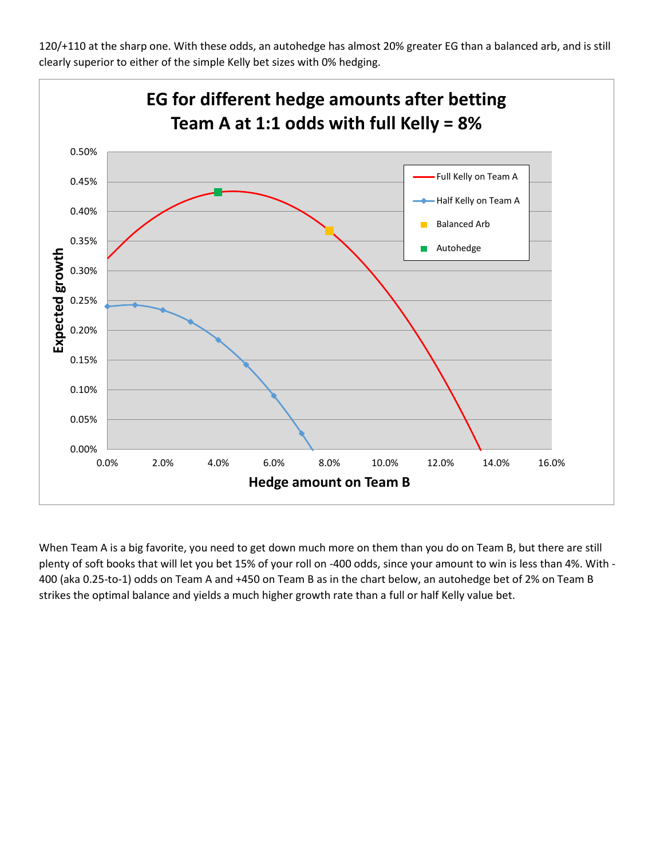120/+110 at the sharp one. With these odds, an autohedge has almost 20% greater EG than a balanced arb, and is still clearly superior to either of the simple Kelly bet sizes with 0% hedging.



When Team A is a big favorite, you need to get down much more on them than you do on Team B, but there are still plenty of soft books that will let you bet 15% of your roll on -400 odds, since your amount to win is less than 4%. With - 400 (aka 0.25-to-1) odds on Team A and +450 on Team B as in the chart below, an autohedge bet of 2% on Team B strikes the optimal balance and yields a much higher growth rate than a full or half Kelly value bet.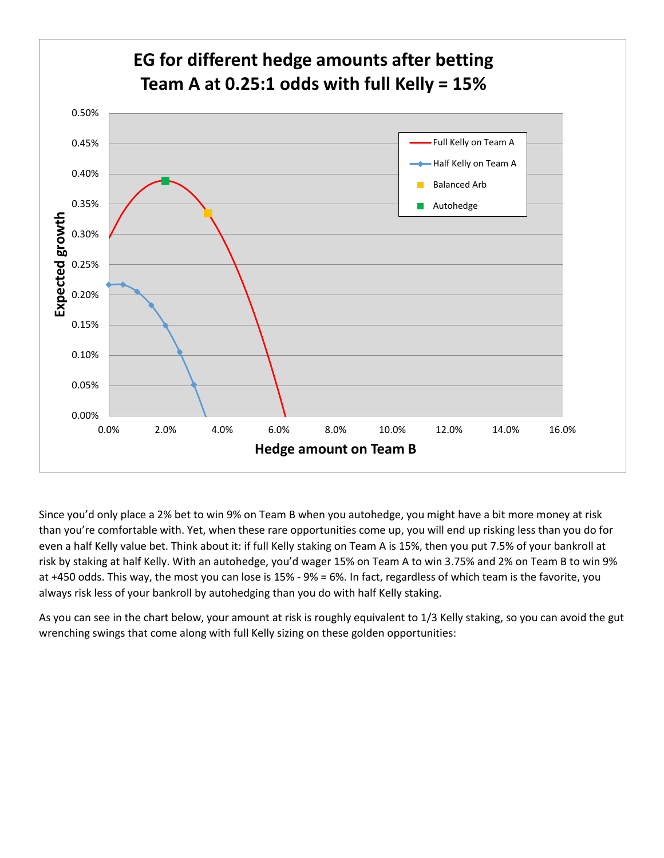

Since you'd only place a 2% bet to win 9% on Team B when you autohedge, you might have a bit more money at risk than you're comfortable with. Yet, when these rare opportunities come up, you will end up risking less than you do for even a half Kelly value bet. Think about it: if full Kelly staking on Team A is 15%, then you put 7.5% of your bankroll at risk by staking at half Kelly. With an autohedge, you'd wager 15% on Team A to win 3.75% and 2% on Team B to win 9% at +450 odds. This way, the most you can lose is 15% - 9% = 6%. In fact, regardless of which team is the favorite, you always risk less of your bankroll by autohedging than you do with half Kelly staking.

As you can see in the chart below, your amount at risk is roughly equivalent to 1/3 Kelly staking, so you can avoid the gut wrenching swings that come along with full Kelly sizing on these golden opportunities: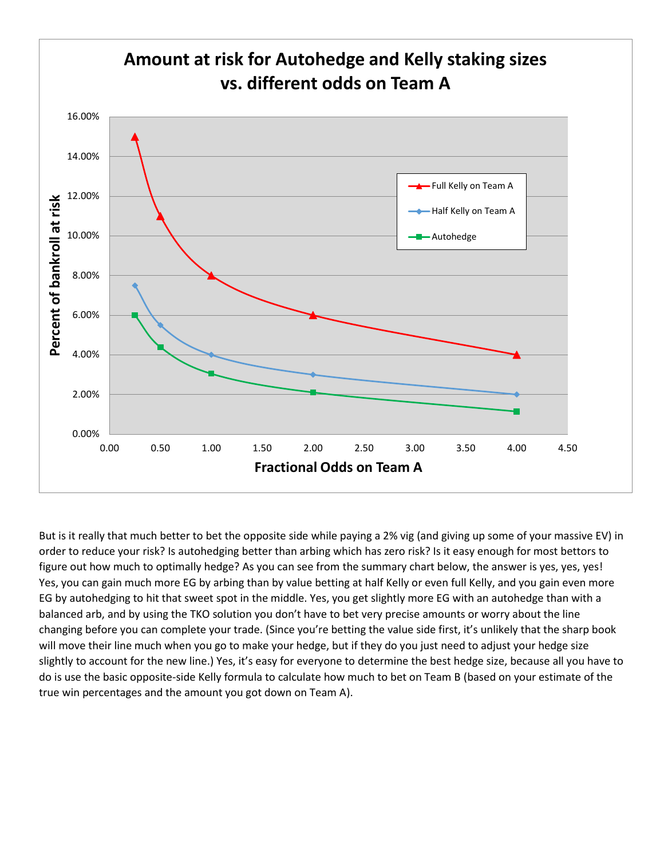

But is it really that much better to bet the opposite side while paying a 2% vig (and giving up some of your massive EV) in order to reduce your risk? Is autohedging better than arbing which has zero risk? Is it easy enough for most bettors to figure out how much to optimally hedge? As you can see from the summary chart below, the answer is yes, yes, yes! Yes, you can gain much more EG by arbing than by value betting at half Kelly or even full Kelly, and you gain even more EG by autohedging to hit that sweet spot in the middle. Yes, you get slightly more EG with an autohedge than with a balanced arb, and by using the TKO solution you don't have to bet very precise amounts or worry about the line changing before you can complete your trade. (Since you're betting the value side first, it's unlikely that the sharp book will move their line much when you go to make your hedge, but if they do you just need to adjust your hedge size slightly to account for the new line.) Yes, it's easy for everyone to determine the best hedge size, because all you have to do is use the basic opposite-side Kelly formula to calculate how much to bet on Team B (based on your estimate of the true win percentages and the amount you got down on Team A).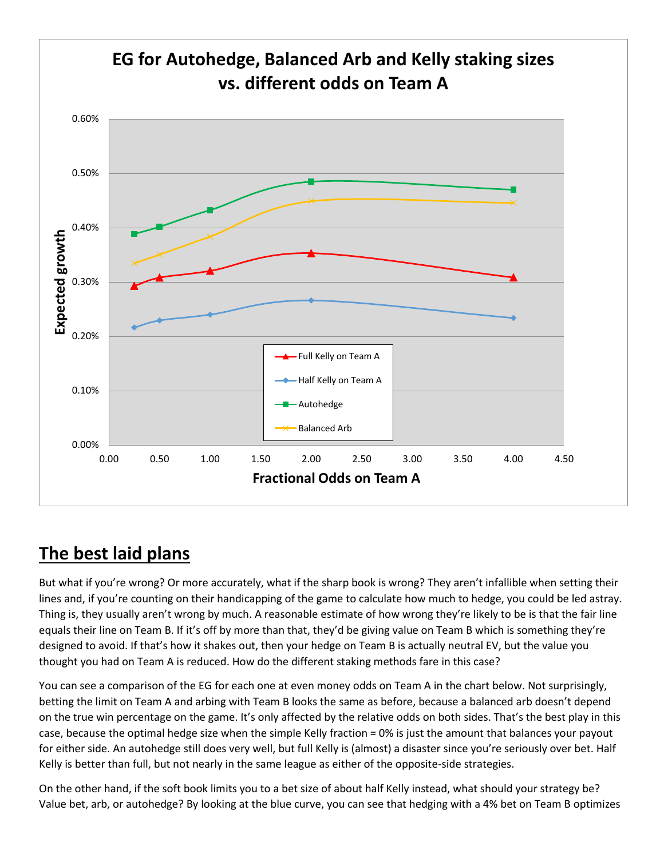

# **The best laid plans**

But what if you're wrong? Or more accurately, what if the sharp book is wrong? They aren't infallible when setting their lines and, if you're counting on their handicapping of the game to calculate how much to hedge, you could be led astray. Thing is, they usually aren't wrong by much. A reasonable estimate of how wrong they're likely to be is that the fair line equals their line on Team B. If it's off by more than that, they'd be giving value on Team B which is something they're designed to avoid. If that's how it shakes out, then your hedge on Team B is actually neutral EV, but the value you thought you had on Team A is reduced. How do the different staking methods fare in this case?

You can see a comparison of the EG for each one at even money odds on Team A in the chart below. Not surprisingly, betting the limit on Team A and arbing with Team B looks the same as before, because a balanced arb doesn't depend on the true win percentage on the game. It's only affected by the relative odds on both sides. That's the best play in this case, because the optimal hedge size when the simple Kelly fraction = 0% is just the amount that balances your payout for either side. An autohedge still does very well, but full Kelly is (almost) a disaster since you're seriously over bet. Half Kelly is better than full, but not nearly in the same league as either of the opposite-side strategies.

On the other hand, if the soft book limits you to a bet size of about half Kelly instead, what should your strategy be? Value bet, arb, or autohedge? By looking at the blue curve, you can see that hedging with a 4% bet on Team B optimizes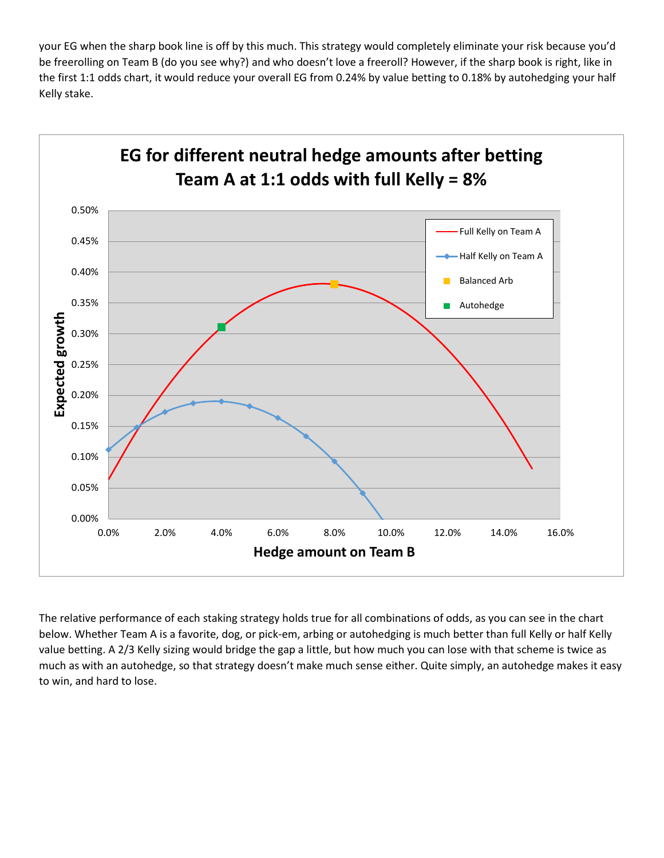your EG when the sharp book line is off by this much. This strategy would completely eliminate your risk because you'd be freerolling on Team B (do you see why?) and who doesn't love a freeroll? However, if the sharp book is right, like in the first 1:1 odds chart, it would reduce your overall EG from 0.24% by value betting to 0.18% by autohedging your half Kelly stake.



The relative performance of each staking strategy holds true for all combinations of odds, as you can see in the chart below. Whether Team A is a favorite, dog, or pick-em, arbing or autohedging is much better than full Kelly or half Kelly value betting. A 2/3 Kelly sizing would bridge the gap a little, but how much you can lose with that scheme is twice as much as with an autohedge, so that strategy doesn't make much sense either. Quite simply, an autohedge makes it easy to win, and hard to lose.